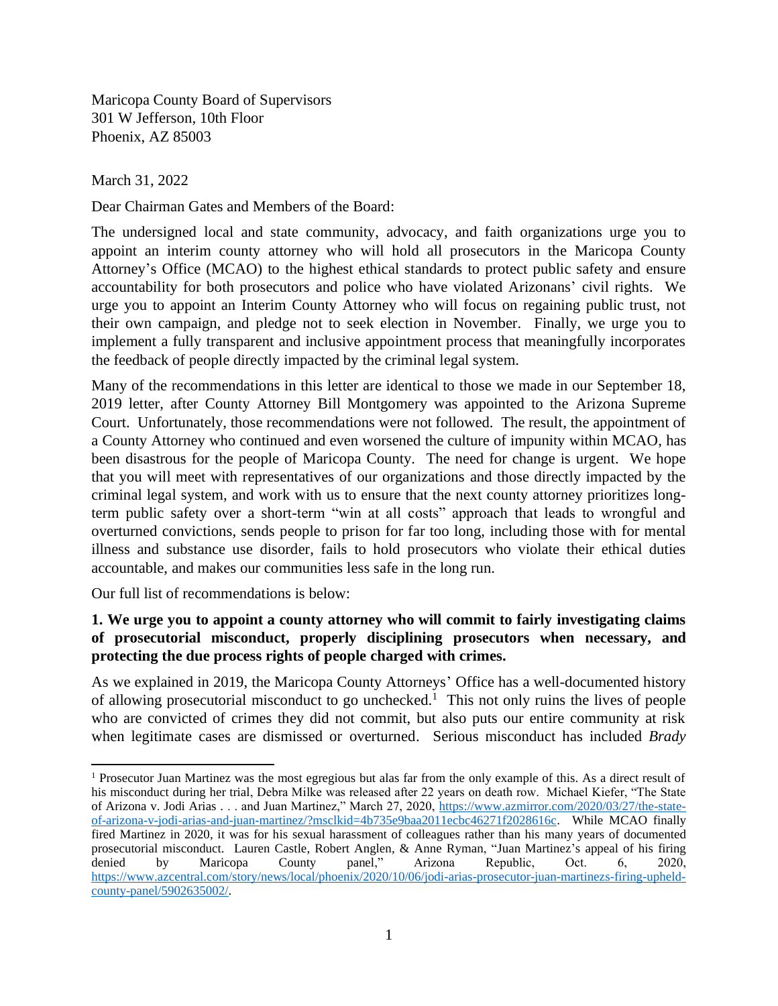Maricopa County Board of Supervisors 301 W Jefferson, 10th Floor Phoenix, AZ 85003

March 31, 2022

Dear Chairman Gates and Members of the Board:

The undersigned local and state community, advocacy, and faith organizations urge you to appoint an interim county attorney who will hold all prosecutors in the Maricopa County Attorney's Office (MCAO) to the highest ethical standards to protect public safety and ensure accountability for both prosecutors and police who have violated Arizonans' civil rights. We urge you to appoint an Interim County Attorney who will focus on regaining public trust, not their own campaign, and pledge not to seek election in November. Finally, we urge you to implement a fully transparent and inclusive appointment process that meaningfully incorporates the feedback of people directly impacted by the criminal legal system.

Many of the recommendations in this letter are identical to those we made in our September 18, 2019 letter, after County Attorney Bill Montgomery was appointed to the Arizona Supreme Court. Unfortunately, those recommendations were not followed. The result, the appointment of a County Attorney who continued and even worsened the culture of impunity within MCAO, has been disastrous for the people of Maricopa County. The need for change is urgent. We hope that you will meet with representatives of our organizations and those directly impacted by the criminal legal system, and work with us to ensure that the next county attorney prioritizes longterm public safety over a short-term "win at all costs" approach that leads to wrongful and overturned convictions, sends people to prison for far too long, including those with for mental illness and substance use disorder, fails to hold prosecutors who violate their ethical duties accountable, and makes our communities less safe in the long run.

Our full list of recommendations is below:

# **1. We urge you to appoint a county attorney who will commit to fairly investigating claims of prosecutorial misconduct, properly disciplining prosecutors when necessary, and protecting the due process rights of people charged with crimes.**

As we explained in 2019, the Maricopa County Attorneys' Office has a well-documented history of allowing prosecutorial misconduct to go unchecked.<sup>1</sup> This not only ruins the lives of people who are convicted of crimes they did not commit, but also puts our entire community at risk when legitimate cases are dismissed or overturned. Serious misconduct has included *Brady*

<sup>1</sup> Prosecutor Juan Martinez was the most egregious but alas far from the only example of this. As a direct result of his misconduct during her trial, Debra Milke was released after 22 years on death row. Michael Kiefer, "The State of Arizona v. Jodi Arias . . . and Juan Martinez," March 27, 2020, [https://www.azmirror.com/2020/03/27/the-state](https://www.azmirror.com/2020/03/27/the-state-of-arizona-v-jodi-arias-and-juan-martinez/?msclkid=4b735e9baa2011ecbc46271f2028616c)[of-arizona-v-jodi-arias-and-juan-martinez/?msclkid=4b735e9baa2011ecbc46271f2028616c.](https://www.azmirror.com/2020/03/27/the-state-of-arizona-v-jodi-arias-and-juan-martinez/?msclkid=4b735e9baa2011ecbc46271f2028616c) While MCAO finally fired Martinez in 2020, it was for his sexual harassment of colleagues rather than his many years of documented prosecutorial misconduct. Lauren Castle, Robert Anglen, & Anne Ryman, "Juan Martinez's appeal of his firing denied by Maricopa County panel," Arizona Republic, Oct. 6, 2020, [https://www.azcentral.com/story/news/local/phoenix/2020/10/06/jodi-arias-prosecutor-juan-martinezs-firing-upheld](https://www.azcentral.com/story/news/local/phoenix/2020/10/06/jodi-arias-prosecutor-juan-martinezs-firing-upheld-county-panel/5902635002/)[county-panel/5902635002/.](https://www.azcentral.com/story/news/local/phoenix/2020/10/06/jodi-arias-prosecutor-juan-martinezs-firing-upheld-county-panel/5902635002/)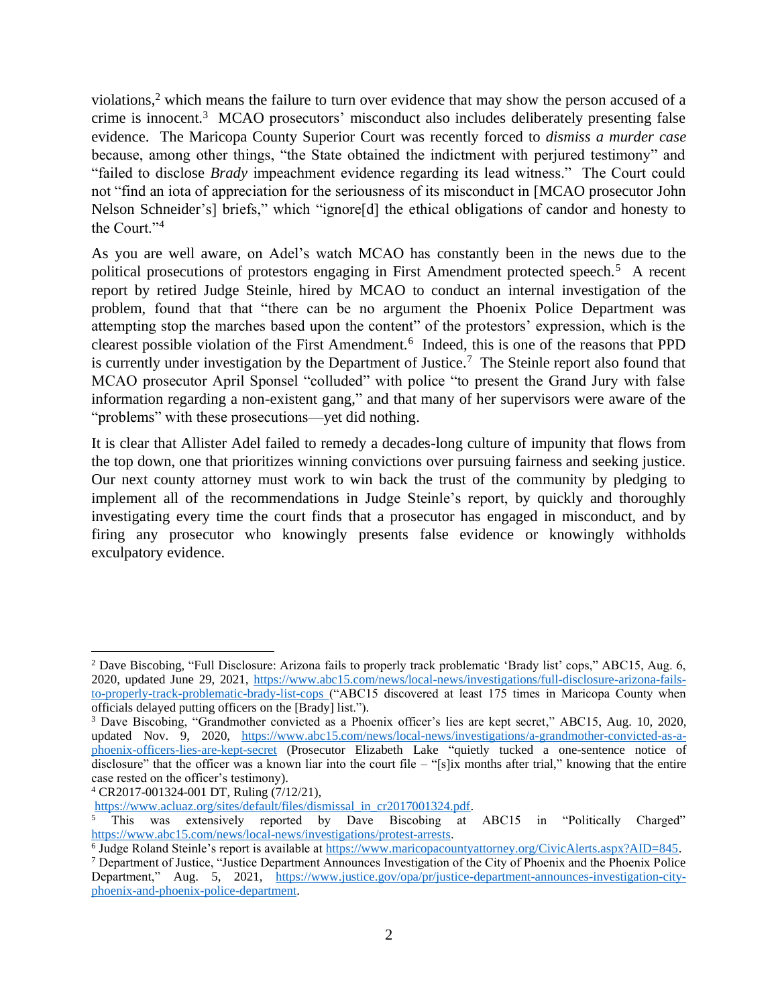violations,<sup>2</sup> which means the failure to turn over evidence that may show the person accused of a crime is innocent.<sup>3</sup> MCAO prosecutors' misconduct also includes deliberately presenting false evidence. The Maricopa County Superior Court was recently forced to *dismiss a murder case* because, among other things, "the State obtained the indictment with perjured testimony" and "failed to disclose *Brady* impeachment evidence regarding its lead witness." The Court could not "find an iota of appreciation for the seriousness of its misconduct in [MCAO prosecutor John Nelson Schneider's] briefs," which "ignore[d] the ethical obligations of candor and honesty to the Court."<sup>4</sup>

As you are well aware, on Adel's watch MCAO has constantly been in the news due to the political prosecutions of protestors engaging in First Amendment protected speech.<sup>5</sup> A recent report by retired Judge Steinle, hired by MCAO to conduct an internal investigation of the problem, found that that "there can be no argument the Phoenix Police Department was attempting stop the marches based upon the content" of the protestors' expression, which is the clearest possible violation of the First Amendment.<sup>6</sup> Indeed, this is one of the reasons that PPD is currently under investigation by the Department of Justice. <sup>7</sup> The Steinle report also found that MCAO prosecutor April Sponsel "colluded" with police "to present the Grand Jury with false information regarding a non-existent gang," and that many of her supervisors were aware of the "problems" with these prosecutions—yet did nothing.

It is clear that Allister Adel failed to remedy a decades-long culture of impunity that flows from the top down, one that prioritizes winning convictions over pursuing fairness and seeking justice. Our next county attorney must work to win back the trust of the community by pledging to implement all of the recommendations in Judge Steinle's report, by quickly and thoroughly investigating every time the court finds that a prosecutor has engaged in misconduct, and by firing any prosecutor who knowingly presents false evidence or knowingly withholds exculpatory evidence.

<sup>2</sup> Dave Biscobing, "Full Disclosure: Arizona fails to properly track problematic 'Brady list' cops," ABC15, Aug. 6, 2020, updated June 29, 2021, [https://www.abc15.com/news/local-news/investigations/full-disclosure-arizona-fails](https://www.abc15.com/news/local-news/investigations/full-disclosure-arizona-fails-to-properly-track-problematic-brady-list-cops)[to-properly-track-problematic-brady-list-cops](https://www.abc15.com/news/local-news/investigations/full-disclosure-arizona-fails-to-properly-track-problematic-brady-list-cops) ("ABC15 discovered at least 175 times in Maricopa County when officials delayed putting officers on the [Brady] list.").

<sup>3</sup> Dave Biscobing, "Grandmother convicted as a Phoenix officer's lies are kept secret," ABC15, Aug. 10, 2020, updated Nov. 9, 2020, [https://www.abc15.com/news/local-news/investigations/a-grandmother-convicted-as-a](https://www.abc15.com/news/local-news/investigations/a-grandmother-convicted-as-a-phoenix-officers-lies-are-kept-secret)[phoenix-officers-lies-are-kept-secret](https://www.abc15.com/news/local-news/investigations/a-grandmother-convicted-as-a-phoenix-officers-lies-are-kept-secret) (Prosecutor Elizabeth Lake "quietly tucked a one-sentence notice of disclosure" that the officer was a known liar into the court file – "[s]ix months after trial," knowing that the entire case rested on the officer's testimony).

<sup>4</sup> CR2017-001324-001 DT, Ruling (7/12/21),

[https://www.acluaz.org/sites/default/files/dismissal\\_in\\_cr2017001324.pdf.](https://www.acluaz.org/sites/default/files/dismissal_in_cr2017001324.pdf) 

This was extensively reported by Dave Biscobing at ABC15 in "Politically Charged" [https://www.abc15.com/news/local-news/investigations/protest-arrests.](https://www.abc15.com/news/local-news/investigations/protest-arrests)

<sup>&</sup>lt;sup>6</sup> Judge Roland Steinle's report is available at [https://www.maricopacountyattorney.org/CivicAlerts.aspx?AID=845.](https://www.maricopacountyattorney.org/CivicAlerts.aspx?AID=845)

<sup>7</sup> Department of Justice, "Justice Department Announces Investigation of the City of Phoenix and the Phoenix Police Department," Aug. 5, 2021, [https://www.justice.gov/opa/pr/justice-department-announces-investigation-city](https://www.justice.gov/opa/pr/justice-department-announces-investigation-city-phoenix-and-phoenix-police-department)[phoenix-and-phoenix-police-department.](https://www.justice.gov/opa/pr/justice-department-announces-investigation-city-phoenix-and-phoenix-police-department)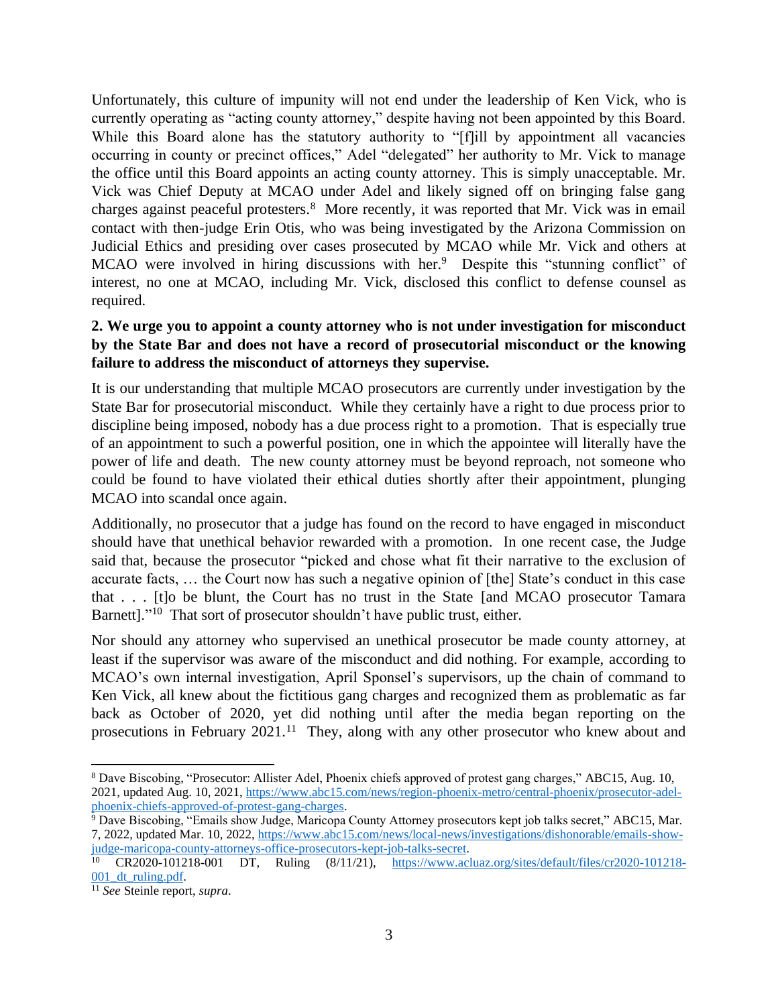Unfortunately, this culture of impunity will not end under the leadership of Ken Vick, who is currently operating as "acting county attorney," despite having not been appointed by this Board. While this Board alone has the statutory authority to "[f]ill by appointment all vacancies occurring in county or precinct offices," Adel "delegated" her authority to Mr. Vick to manage the office until this Board appoints an acting county attorney. This is simply unacceptable. Mr. Vick was Chief Deputy at MCAO under Adel and likely signed off on bringing false gang charges against peaceful protesters.<sup>8</sup> More recently, it was reported that Mr. Vick was in email contact with then-judge Erin Otis, who was being investigated by the Arizona Commission on Judicial Ethics and presiding over cases prosecuted by MCAO while Mr. Vick and others at MCAO were involved in hiring discussions with her.<sup>9</sup> Despite this "stunning conflict" of interest, no one at MCAO, including Mr. Vick, disclosed this conflict to defense counsel as required.

### **2. We urge you to appoint a county attorney who is not under investigation for misconduct by the State Bar and does not have a record of prosecutorial misconduct or the knowing failure to address the misconduct of attorneys they supervise.**

It is our understanding that multiple MCAO prosecutors are currently under investigation by the State Bar for prosecutorial misconduct. While they certainly have a right to due process prior to discipline being imposed, nobody has a due process right to a promotion. That is especially true of an appointment to such a powerful position, one in which the appointee will literally have the power of life and death. The new county attorney must be beyond reproach, not someone who could be found to have violated their ethical duties shortly after their appointment, plunging MCAO into scandal once again.

Additionally, no prosecutor that a judge has found on the record to have engaged in misconduct should have that unethical behavior rewarded with a promotion. In one recent case, the Judge said that, because the prosecutor "picked and chose what fit their narrative to the exclusion of accurate facts, … the Court now has such a negative opinion of [the] State's conduct in this case that . . . [t]o be blunt, the Court has no trust in the State [and MCAO prosecutor Tamara Barnett]."<sup>10</sup> That sort of prosecutor shouldn't have public trust, either.

Nor should any attorney who supervised an unethical prosecutor be made county attorney, at least if the supervisor was aware of the misconduct and did nothing. For example, according to MCAO's own internal investigation, April Sponsel's supervisors, up the chain of command to Ken Vick, all knew about the fictitious gang charges and recognized them as problematic as far back as October of 2020, yet did nothing until after the media began reporting on the prosecutions in February 2021.<sup>11</sup> They, along with any other prosecutor who knew about and

<sup>8</sup> Dave Biscobing, "Prosecutor: Allister Adel, Phoenix chiefs approved of protest gang charges," ABC15, Aug. 10, 2021, updated Aug. 10, 2021[, https://www.abc15.com/news/region-phoenix-metro/central-phoenix/prosecutor-adel](https://www.abc15.com/news/region-phoenix-metro/central-phoenix/prosecutor-adel-phoenix-chiefs-approved-of-protest-gang-charges)[phoenix-chiefs-approved-of-protest-gang-charges.](https://www.abc15.com/news/region-phoenix-metro/central-phoenix/prosecutor-adel-phoenix-chiefs-approved-of-protest-gang-charges)

<sup>9</sup> Dave Biscobing, "Emails show Judge, Maricopa County Attorney prosecutors kept job talks secret," ABC15, Mar. 7, 2022, updated Mar. 10, 2022, [https://www.abc15.com/news/local-news/investigations/dishonorable/emails-show](https://www.abc15.com/news/local-news/investigations/dishonorable/emails-show-judge-maricopa-county-attorneys-office-prosecutors-kept-job-talks-secret)[judge-maricopa-county-attorneys-office-prosecutors-kept-job-talks-secret.](https://www.abc15.com/news/local-news/investigations/dishonorable/emails-show-judge-maricopa-county-attorneys-office-prosecutors-kept-job-talks-secret)

<sup>10</sup> CR2020-101218-001 DT, Ruling (8/11/21), [https://www.acluaz.org/sites/default/files/cr2020-101218-](https://www.acluaz.org/sites/default/files/cr2020-101218-001_dt_ruling.pdf) [001\\_dt\\_ruling.pdf.](https://www.acluaz.org/sites/default/files/cr2020-101218-001_dt_ruling.pdf) 

<sup>11</sup> *See* Steinle report, *supra*.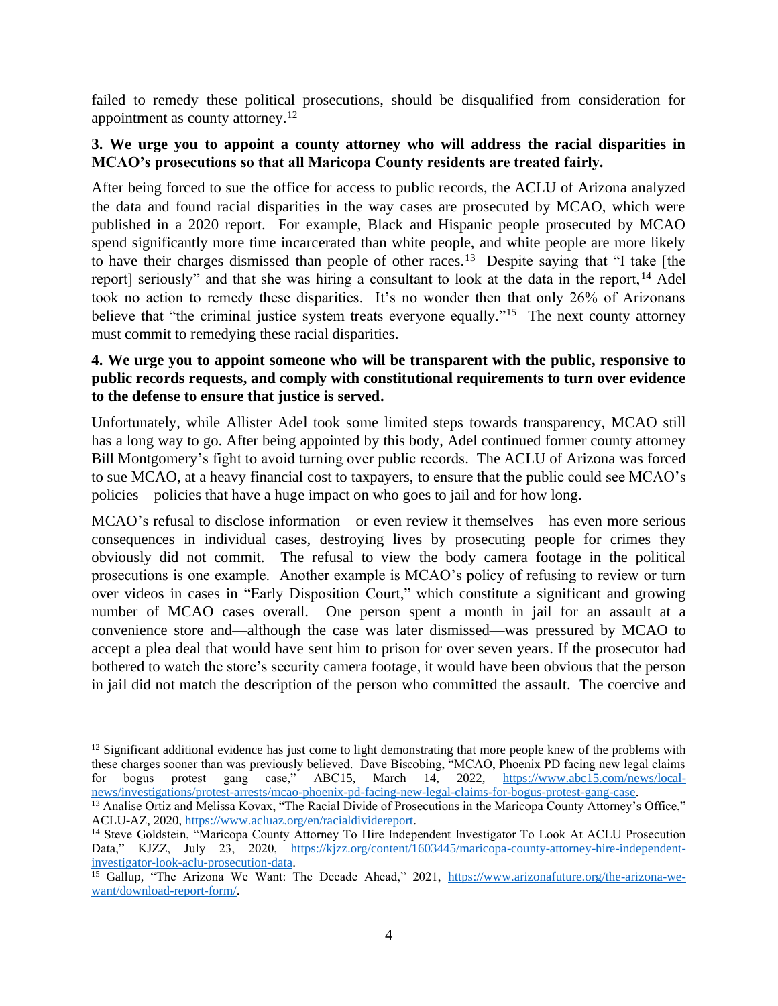failed to remedy these political prosecutions, should be disqualified from consideration for appointment as county attorney.<sup>12</sup>

#### **3. We urge you to appoint a county attorney who will address the racial disparities in MCAO's prosecutions so that all Maricopa County residents are treated fairly.**

After being forced to sue the office for access to public records, the ACLU of Arizona analyzed the data and found racial disparities in the way cases are prosecuted by MCAO, which were published in a 2020 report. For example, Black and Hispanic people prosecuted by MCAO spend significantly more time incarcerated than white people, and white people are more likely to have their charges dismissed than people of other races.<sup>13</sup> Despite saying that "I take [the report] seriously" and that she was hiring a consultant to look at the data in the report,<sup>14</sup> Adel took no action to remedy these disparities. It's no wonder then that only 26% of Arizonans believe that "the criminal justice system treats everyone equally."<sup>15</sup> The next county attorney must commit to remedying these racial disparities.

### **4. We urge you to appoint someone who will be transparent with the public, responsive to public records requests, and comply with constitutional requirements to turn over evidence to the defense to ensure that justice is served.**

Unfortunately, while Allister Adel took some limited steps towards transparency, MCAO still has a long way to go. After being appointed by this body, Adel continued former county attorney Bill Montgomery's fight to avoid turning over public records. The ACLU of Arizona was forced to sue MCAO, at a heavy financial cost to taxpayers, to ensure that the public could see MCAO's policies—policies that have a huge impact on who goes to jail and for how long.

MCAO's refusal to disclose information—or even review it themselves—has even more serious consequences in individual cases, destroying lives by prosecuting people for crimes they obviously did not commit. The refusal to view the body camera footage in the political prosecutions is one example. Another example is MCAO's policy of refusing to review or turn over videos in cases in "Early Disposition Court," which constitute a significant and growing number of MCAO cases overall. One person spent a month in jail for an assault at a convenience store and—although the case was later dismissed—was pressured by MCAO to accept a plea deal that would have sent him to prison for over seven years. If the prosecutor had bothered to watch the store's security camera footage, it would have been obvious that the person in jail did not match the description of the person who committed the assault. The coercive and

 $12$  Significant additional evidence has just come to light demonstrating that more people knew of the problems with these charges sooner than was previously believed. Dave Biscobing, "MCAO, Phoenix PD facing new legal claims for bogus protest gang case," ABC15, March 14, 2022, [https://www.abc15.com/news/local](https://www.abc15.com/news/local-news/investigations/protest-arrests/mcao-phoenix-pd-facing-new-legal-claims-for-bogus-protest-gang-case)[news/investigations/protest-arrests/mcao-phoenix-pd-facing-new-legal-claims-for-bogus-protest-gang-case.](https://www.abc15.com/news/local-news/investigations/protest-arrests/mcao-phoenix-pd-facing-new-legal-claims-for-bogus-protest-gang-case)

<sup>&</sup>lt;sup>13</sup> Analise Ortiz and Melissa Kovax, "The Racial Divide of Prosecutions in the Maricopa County Attorney's Office," ACLU-AZ, 2020, [https://www.acluaz.org/en/racialdividereport.](https://www.acluaz.org/en/racialdividereport) 

<sup>14</sup> Steve Goldstein, "Maricopa County Attorney To Hire Independent Investigator To Look At ACLU Prosecution Data," KJZZ, July 23, 2020, [https://kjzz.org/content/1603445/maricopa-county-attorney-hire-independent](https://kjzz.org/content/1603445/maricopa-county-attorney-hire-independent-investigator-look-aclu-prosecution-data)[investigator-look-aclu-prosecution-data.](https://kjzz.org/content/1603445/maricopa-county-attorney-hire-independent-investigator-look-aclu-prosecution-data) 

<sup>&</sup>lt;sup>15</sup> Gallup, "The Arizona We Want: The Decade Ahead," 2021, [https://www.arizonafuture.org/the-arizona-we](https://www.arizonafuture.org/the-arizona-we-want/download-report-form/)[want/download-report-form/.](https://www.arizonafuture.org/the-arizona-we-want/download-report-form/)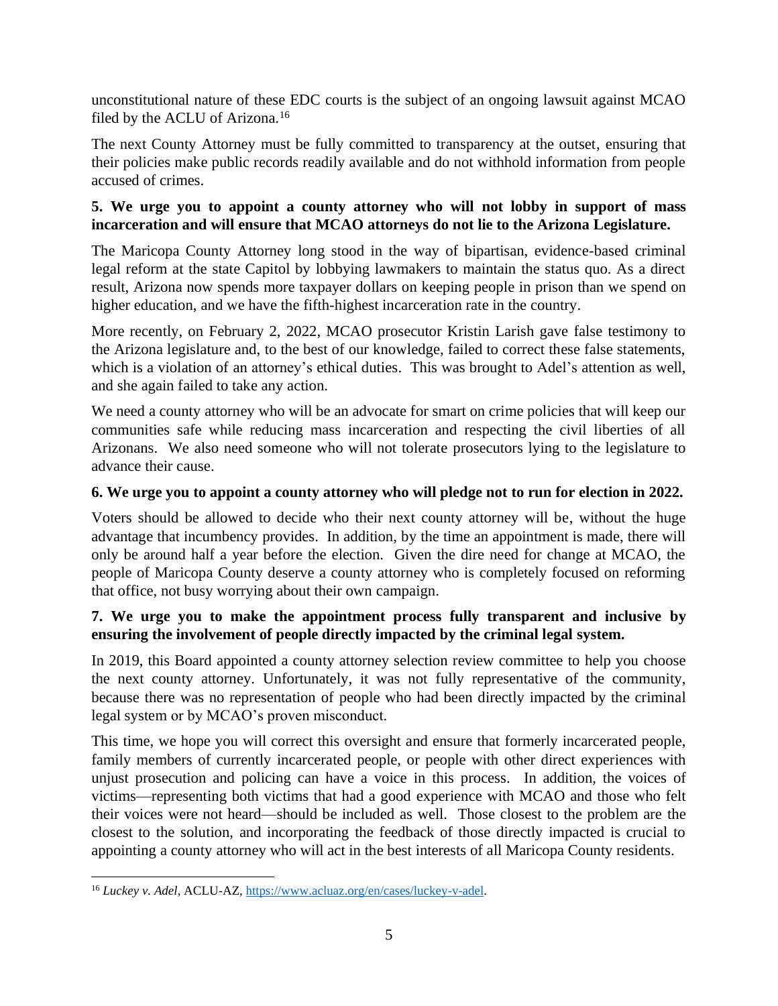unconstitutional nature of these EDC courts is the subject of an ongoing lawsuit against MCAO filed by the ACLU of Arizona.<sup>16</sup>

The next County Attorney must be fully committed to transparency at the outset, ensuring that their policies make public records readily available and do not withhold information from people accused of crimes.

### **5. We urge you to appoint a county attorney who will not lobby in support of mass incarceration and will ensure that MCAO attorneys do not lie to the Arizona Legislature.**

The Maricopa County Attorney long stood in the way of bipartisan, evidence-based criminal legal reform at the state Capitol by lobbying lawmakers to maintain the status quo. As a direct result, Arizona now spends more taxpayer dollars on keeping people in prison than we spend on higher education, and we have the fifth-highest incarceration rate in the country.

More recently, on February 2, 2022, MCAO prosecutor Kristin Larish gave false testimony to the Arizona legislature and, to the best of our knowledge, failed to correct these false statements, which is a violation of an attorney's ethical duties. This was brought to Adel's attention as well, and she again failed to take any action.

We need a county attorney who will be an advocate for smart on crime policies that will keep our communities safe while reducing mass incarceration and respecting the civil liberties of all Arizonans. We also need someone who will not tolerate prosecutors lying to the legislature to advance their cause.

# **6. We urge you to appoint a county attorney who will pledge not to run for election in 2022.**

Voters should be allowed to decide who their next county attorney will be, without the huge advantage that incumbency provides. In addition, by the time an appointment is made, there will only be around half a year before the election. Given the dire need for change at MCAO, the people of Maricopa County deserve a county attorney who is completely focused on reforming that office, not busy worrying about their own campaign.

# **7. We urge you to make the appointment process fully transparent and inclusive by ensuring the involvement of people directly impacted by the criminal legal system.**

In 2019, this Board appointed a county attorney selection review committee to help you choose the next county attorney. Unfortunately, it was not fully representative of the community, because there was no representation of people who had been directly impacted by the criminal legal system or by MCAO's proven misconduct.

This time, we hope you will correct this oversight and ensure that formerly incarcerated people, family members of currently incarcerated people, or people with other direct experiences with unjust prosecution and policing can have a voice in this process. In addition, the voices of victims—representing both victims that had a good experience with MCAO and those who felt their voices were not heard—should be included as well. Those closest to the problem are the closest to the solution, and incorporating the feedback of those directly impacted is crucial to appointing a county attorney who will act in the best interests of all Maricopa County residents.

<sup>16</sup> *Luckey v. Adel*, ACLU-AZ, [https://www.acluaz.org/en/cases/luckey-v-adel.](https://www.acluaz.org/en/cases/luckey-v-adel)